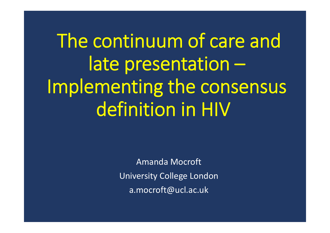The continuum of care and late presentation – Implementing the consensus definition in HIV

> Amanda MocroftUniversity College London a.mocroft@ucl.ac.uk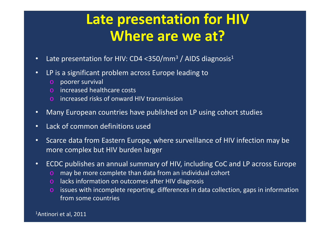# **Late presentation for HIV Where are we at?**

- •• Late presentation for HIV: CD4 <350/mm<sup>3</sup> / AIDS diagnosis<sup>1</sup>
- • LP is a significant problem across Europe leading to
	- o poorer survival
	- o increased healthcare costs
	- o increased risks of onward HIV transmission
- •Many European countries have published on LP using cohort studies
- •Lack of common definitions used
- • Scarce data from Eastern Europe, where surveillance of HIV infection may be more complex but HIV burden larger
- • ECDC publishes an annual summary of HIV, including CoC and LP across Europe
	- o may be more complete than data from an individual cohort
	- o lacks information on outcomes after HIV diagnosis
	- o issues with incomplete reporting, differences in data collection, gaps in information from some countries

1Antinori et al, 2011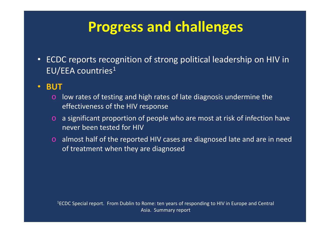# **Progress and challenges**

- • ECDC reports recognition of strong political leadership on HIV in EU/EEA countries $^{\rm 1}$
- • **BUT**
	- $\circ$  low rates of testing and high rates of late diagnosis undermine the effectiveness of the HIV response
	- o a significant proportion of people who are most at risk of infection have never been tested for HIV
	- o almost half of the reported HIV cases are diagnosed late and are in need of treatment when they are diagnosed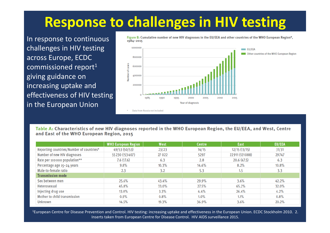# **Response to challenges in HIV testing**

In response to continuous challenges in HIV testing across Europe, ECDC commissioned report<sup>1</sup> giving guidance on increasing uptake and effectiveness of HIV testing in the European Union



Figure B: Cumulative number of new HIV diagnoses in the EU/EEA and other countries of the WHO European Region\*. 1984-2015

Table A: Characteristics of new HIV diagnoses reported in the WHO European Region, the EU/EEA, and West, Centre and East of the WHO European Region, 2015

|                                          | <b>WHO European Region</b> | West    | <b>Centre</b> | <b>East</b>    | <b>EU/EEA</b> |
|------------------------------------------|----------------------------|---------|---------------|----------------|---------------|
| Reporting countries/Number of countries* | 49/53 (50/53)              | 23/23   | 14/15         | 12/15 (13/15)  | 31/31         |
| Number of new HIV diagnoses              | 55230 (153407)             | 27 0 22 | 5297          | 22911 (121088) | 29747         |
| Rate per 100000 population**             | 7.6(17.6)                  | 6.3     | 2.8           | 20.6(47.5)     | 6.3           |
| Percentage age 15-24 years               | 9.8%                       | 10.3%   | 14.6%         | 8.2%           | 10.8%         |
| Male-to-female ratio                     | 2.3                        | 3.2     | 5.3           | 1.5            | 3.3           |
| <b>Transmission mode</b>                 |                            |         |               |                |               |
| Sex between men                          | 25.6%                      | 43.4%   | 29.9%         | 3.6%           | 42.2%         |
| Heterosexual                             | 45.8%                      | 33.0%   | 27.5%         | 65.2%          | 32.0%         |
| Injecting drug use                       | 13.0%                      | 3.3%    | 4.4%          | 26.4%          | 4.2%          |
| Mother to child transmission             | 0.9%                       | 0.8%    | $1.0\%$       | 1.1%           | 0.8%          |
| Unknown                                  | 14.5%                      | 19.3%   | 36.9%         | 3.6%           | 20.2%         |

<sup>1</sup>European Centre for Disease Prevention and Control. HIV testing: increasing uptake and effectiveness in the European Union. ECDC Stockholm 2010. 2. Inserts taken from European Centre for Disease Control. HIV AIDS surveillance 2015.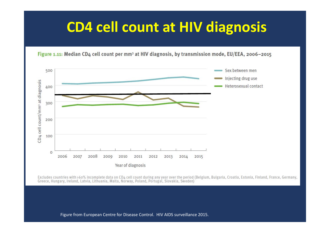# **CD4 cell count at HIV diagnosis**

Figure 1.11: Median CD4 cell count per mm<sup>3</sup> at HIV diagnosis, by transmission mode, EU/EEA, 2006-2015



Excludes countries with >60% incomplete data on CD4 cell count during any year over the period (Belgium, Bulgaria, Croatia, Estonia, Finland, France, Germany, Greece, Hungary, Ireland, Latvia, Lithuania, Malta, Norway, Poland, Portugal, Slovakia, Sweden)

Figure from European Centre for Disease Control. HIV AIDS surveillance 2015.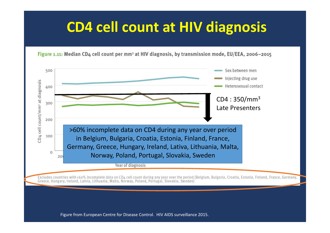# **CD4 cell count at HIV diagnosis**

Figure 1.11: Median CD4 cell count per mm<sup>3</sup> at HIV diagnosis, by transmission mode, EU/EEA, 2006-2015



Excludes countries with >60% incomplete data on CD4 cell count during any year over the period (Belgium, Bulgaria, Croatia, Estonia, Finland, France, Germany, Greece, Hungary, Ireland, Latvia, Lithuania, Malta, Norway, Poland, Portugal, Slovakia, Sweden)

Figure from European Centre for Disease Control. HIV AIDS surveillance 2015.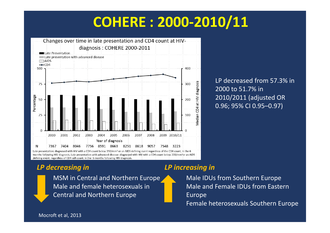# **COHERE : 2000‐2010/11**



LP decreased from 57.3% in 2000 to 51.7% in 2010/2011 (adjusted OR 0.96; 95% CI 0.95–0.97)

#### *LP decreasing in LP increasing in*

MSM in Central and Northern Europe Male and female heterosexuals in Central and Northern Europe

Male IDUs from Southern Europe Male and Female IDUs from Eastern Europe Female heterosexuals Southern Europe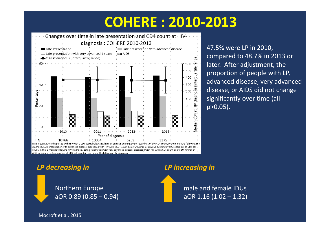# **COHERE : 2010‐2013**



47.5% were LP in 2010, compared to 48.7% in 2013 or later. After adjustment, the proportion of people with LP, advanced disease, very advanced disease, or AIDS did not change significantly over time (all p>0.05).

*LP decreasing in LP increasing in*

Northern Europe aOR 0.89 (0.85 – 0.94)

male and female IDUsaOR 1.16 (1.02 – 1.32)

Mocroft et al, 2015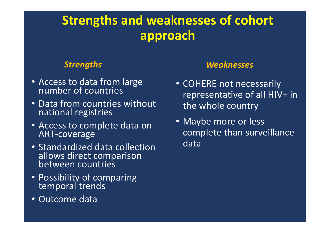## **Strengths and weaknesses of cohort approach**

- Access to data from large number of countries
- Data from countries without national registries
- Access to complete data on ART‐coverage
- Standardized data collection allows direct comparison between countries
- Possibility of comparing temporal trends
- Outcome data

### *Strengths Weaknesses*

- COHERE not necessarily representative of all HIV+ in the whole country
- Maybe more or less complete than surveillance data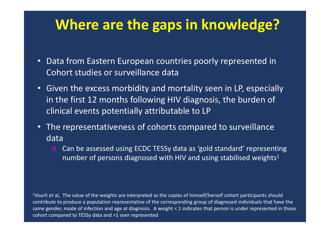# **Where are the gaps in knowledge?**

- Data from Eastern European countries poorly represented in Cohort studies or surveillance data
- Given the excess morbidity and mortality seen in LP, especially in the first 12 months following HIV diagnosis, the burden of clinical events potentially attributable to LP
- The representativeness of cohorts compared to surveillance data
	- Can be assessed using ECDC TESSy data as 'gold standard' representing number of persons diagnosed with HIV and using stabilised weights $^{\text{1}}$

<sup>1</sup>Vourli et al, The value of the weights are interpreted as the copies of himself/herself cohort participants should contribute to produce a population representative of the corresponding group of diagnosed individuals that have the same gender, mode of infection and age at diagnosis. A weight < 1 indicates that person is under represented in those cohort compared to TESSy data and >1 over represented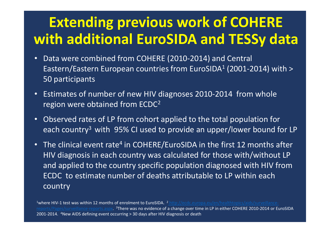# **Extending previous work of COHERE with additional EuroSIDA and TESSy data**

- • Data were combined from COHERE (2010‐2014) and Central Eastern/Eastern European countries from EuroSIDA $^{\rm 1}$  (2001-2014) with >  $\,$ 50 participants
- • Estimates of number of new HIV diagnoses 2010‐2014 from whole region were obtained from ECDC<sup>2</sup>
- • Observed rates of LP from cohort applied to the total population for each country<sup>3</sup> with 95% CI used to provide an upper/lower bound for LP
- The clinical event rate <sup>4</sup> in COHERE/EuroSIDA in the first 12 months after HIV diagnosis in each country was calculated for those with/without LP and applied to the country specific population diagnosed with HIV from ECDC to estimate number of deaths attributable to LP within each country

<sup>1</sup>where HIV-1 test was within 12 months of enrolment to EuroSIDA. <sup>2</sup> http://ecdc.europa.eu/en/healthtopics/aids/surveillancereports/Pages/surveillance-reports.aspx. <sup>3</sup>There was no evidence of a change over time in LP in either COHERE 2010-2014 or EuroSIDA 2001‐2014. 4New AIDS defining event occurring > 30 days after HIV diagnosis or death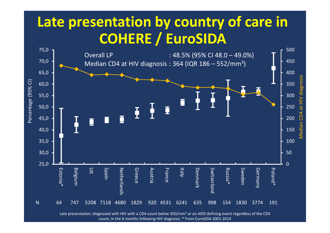# **Late presentation by country of care in COHERE / EuroSIDA**



Late presentation: diagnosed with HIV with a CD4 count below 350/mm<sup>3</sup> or an AIDS defining event regardless of the CD4 count, in the 6 months following HIV diagnosis. \* From EuroSIDA 2001‐2014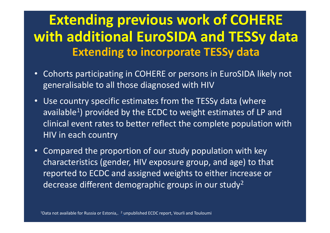# **Extending previous work of COHERE with additional EuroSIDA and TESSy data Extending to incorporate TESSy data**

- • Cohorts participating in COHERE or persons in EuroSIDA likely not generalisable to all those diagnosed with HIV
- • Use country specific estimates from the TESSy data (where available<sup>1</sup>) provided by the ECDC to weight estimates of LP and clinical event rates to better reflect the complete population with HIV in each country
- • Compared the proportion of our study population with key characteristics (gender, HIV exposure group, and age) to that reported to ECDC and assigned weights to either increase or decrease different demographic groups in our study 2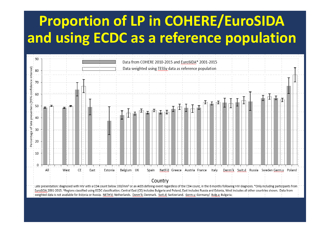# **Proportion of LP in COHERE/EuroSIDA and using ECDC as a reference population**

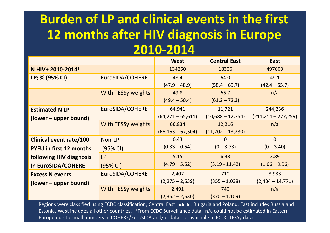## **Burden of LP and clinical events in the first 12 months after HIV diagnosis in Europe 2010‐2014**

|                                |                           | <b>West</b>           | <b>Central East</b> | <b>East</b>             |
|--------------------------------|---------------------------|-----------------------|---------------------|-------------------------|
| N HIV+ 2010-2014 <sup>1</sup>  |                           | 134250                | 18306               | 497603                  |
| LP; % (95% CI)                 | EuroSIDA/COHERE           | 48.4                  | 64.0                | 49.1                    |
|                                |                           | $(47.9 - 48.9)$       | $(58.4 - 69.7)$     | $(42.4 - 55.7)$         |
|                                | With TESSy weights        | 49.8                  | 66.7                | n/a                     |
|                                |                           | $(49.4 - 50.4)$       | $(61.2 - 72.3)$     |                         |
| <b>Estimated N LP</b>          | EuroSIDA/COHERE           | 64,941                | 11,721              | 244,236                 |
| (lower – upper bound)          |                           | $(64, 271 - 65, 611)$ | $(10,688 - 12,754)$ | $(211, 214 - 277, 259)$ |
|                                | <b>With TESSy weights</b> | 66,834                | 12,216              | n/a                     |
|                                |                           | $(66, 163 - 67, 504)$ | $(11,202 - 13,230)$ |                         |
| <b>Clinical event rate/100</b> | Non-LP                    | 0.43                  | 0                   | $\overline{0}$          |
| <b>PYFU in first 12 months</b> | (95% CI)                  | $(0.33 - 0.54)$       | $(0 - 3.73)$        | $(0 - 3.40)$            |
| following HIV diagnosis        | <b>LP</b>                 | 5.15                  | 6.38                | 3.89                    |
| In EuroSIDA/COHERE             | $(95% \text{ Cl})$        | $(4.79 - 5.52)$       | $(3.19 - 11.42)$    | $(1.06 - 9.96)$         |
| <b>Excess N events</b>         | EuroSIDA/COHERE           | 2,407                 | 710                 | 8,933                   |
| (lower – upper bound)          |                           |                       | $(355 - 1,038)$     | $(2,434 - 14,771)$      |
| With TESSy weights             |                           | 2,491                 | 740                 | n/a                     |
|                                |                           | $(2,352 - 2,630)$     | $(370 - 1,109)$     |                         |

Regions were classified using ECDC classification; Central East includes Bulgaria and Poland, East includes Russia and Estonia, West includes all other countries. 1From ECDC Surveillance data. n/a could not be estimated in Eastern Europe due to small numbers in COHERE/EuroSIDA and/or data not available in ECDC TESSy data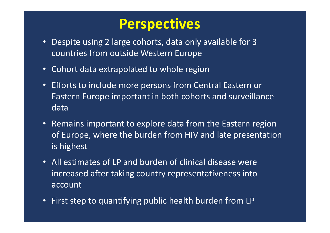## **Perspectives**

- Despite using 2 large cohorts, data only available for 3 countries from outside Western Europe
- Cohort data extrapolated to whole region
- Efforts to include more persons from Central Eastern or Eastern Europe important in both cohorts and surveillance data
- Remains important to explore data from the Eastern region of Europe, where the burden from HIV and late presentation is highest
- All estimates of LP and burden of clinical disease were increased after taking country representativeness into account
- First step to quantifying public health burden from LP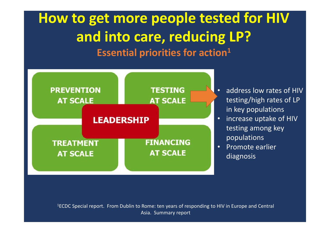# **How to get more people tested for HIV and into care, reducing LP? Essential priorities for action 1**



- • address low rates of HIV testing/high rates of LP in key populations
- increase uptake of HIV testing among key populations
- $\bullet$  Promote earlier diagnosis

<sup>1</sup>ECDC Special report. From Dublin to Rome: ten years of responding to HIV in Europe and Central Asia. Summary report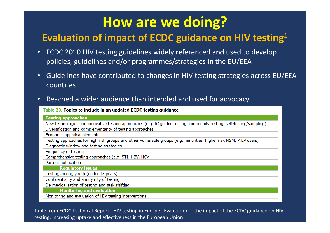# **How are we doing?**

### **Evaluation of impact of ECDC guidance on HIV testing 1**

- • ECDC 2010 HIV testing guidelines widely referenced and used to develop policies, guidelines and/or programmes/strategies in the EU/EEA
- • Guidelines have contributed to changes in HIV testing strategies across EU/EEA countries

#### •Reached a wider audience than intended and used for advocacy

Table 20. Topics to include in an updated ECDC testing guidance

| <b>Testing approaches</b>                                                                                             |  |  |  |
|-----------------------------------------------------------------------------------------------------------------------|--|--|--|
| New technologies and innovative testing approaches (e.g. IC guided testing, community testing, self-testing/sampling) |  |  |  |
| Diversification and complementarity of testing approaches                                                             |  |  |  |
| Economic appraisal elements                                                                                           |  |  |  |
| Testing approaches for high risk groups and other vulnerable groups (e.g. minorities, higher risk MSM, PrEP users)    |  |  |  |
| Diagnostic window and testing strategies                                                                              |  |  |  |
| Frequency of testing                                                                                                  |  |  |  |
| Comprehensive testing approaches (e.g. STI, HBV, HCV)                                                                 |  |  |  |
| Partner notification                                                                                                  |  |  |  |
| <b>Regulatory issues</b>                                                                                              |  |  |  |
| Testing among youth (under 18 years)                                                                                  |  |  |  |
| Confidentiality and anonymity of testing                                                                              |  |  |  |
| De-medicalisation of testing and task-shifting                                                                        |  |  |  |
| <b>Monitoring and evaluation</b>                                                                                      |  |  |  |
| Monitoring and evaluation of HIV testing interventions                                                                |  |  |  |
|                                                                                                                       |  |  |  |

Table from ECDC Technical Report. HIV testing in Europe. Evaluation of the impact of the ECDC guidance on HIV testing: increasing uptake and effectiveness in the European Union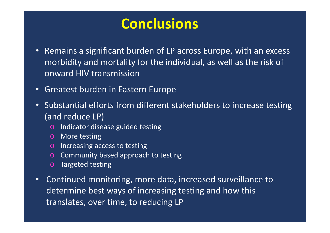# **Conclusions**

- • Remains a significant burden of LP across Europe, with an excess morbidity and mortality for the individual, as well as the risk of onward HIV transmission
- •Greatest burden in Eastern Europe
- • Substantial efforts from different stakeholders to increase testing (and reduce LP)
	- o Indicator disease guided testing
	- o More testing
	- o Increasing access to testing
	- o Community based approach to testing
	- o Targeted testing
- • Continued monitoring, more data, increased surveillance to determine best ways of increasing testing and how this translates, over time, to reducing LP